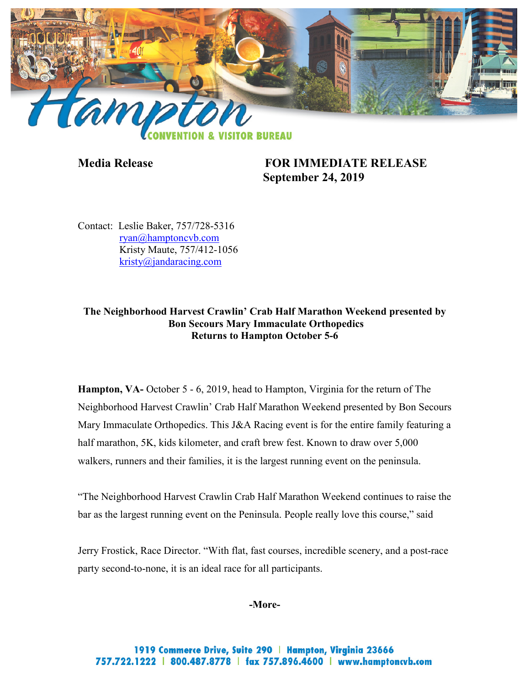

**Media Release FOR IMMEDIATE RELEASE September 24, 2019**

Contact: Leslie Baker, 757/728-5316 [ryan@hamptoncvb.com](mailto:ryan@hamptoncvb.com) Kristy Maute, 757/412-1056 [kristy@jandaracing.com](mailto:Brittany@jandaracing.com)

# **The Neighborhood Harvest Crawlin' Crab Half Marathon Weekend presented by Bon Secours Mary Immaculate Orthopedics Returns to Hampton October 5-6**

**Hampton, VA-** October 5 - 6, 2019, head to Hampton, Virginia for the return of The Neighborhood Harvest Crawlin' Crab Half Marathon Weekend presented by Bon Secours Mary Immaculate Orthopedics. This J&A Racing event is for the entire family featuring a half marathon, 5K, kids kilometer, and craft brew fest. Known to draw over 5,000 walkers, runners and their families, it is the largest running event on the peninsula.

"The Neighborhood Harvest Crawlin Crab Half Marathon Weekend continues to raise the bar as the largest running event on the Peninsula. People really love this course," said

Jerry Frostick, Race Director. "With flat, fast courses, incredible scenery, and a post-race party second-to-none, it is an ideal race for all participants.

**-More-**

1919 Commerce Drive, Suite 290 | Hampton, Virginia 23666 757.722.1222 | 800.487.8778 | fax 757.896.4600 | www.hamptoncvb.com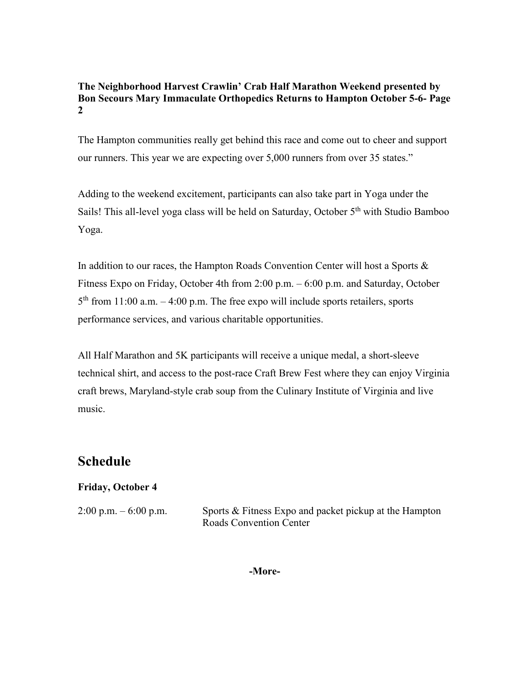The Hampton communities really get behind this race and come out to cheer and support our runners. This year we are expecting over 5,000 runners from over 35 states."

Adding to the weekend excitement, participants can also take part in Yoga under the Sails! This all-level yoga class will be held on Saturday, October 5<sup>th</sup> with Studio Bamboo Yoga.

In addition to our races, the Hampton Roads Convention Center will host a Sports & Fitness Expo on Friday, October 4th from 2:00 p.m. – 6:00 p.m. and Saturday, October  $5<sup>th</sup>$  from 11:00 a.m.  $-4:00$  p.m. The free expo will include sports retailers, sports performance services, and various charitable opportunities.

All Half Marathon and 5K participants will receive a unique medal, a short-sleeve technical shirt, and access to the post-race Craft Brew Fest where they can enjoy Virginia craft brews, Maryland-style crab soup from the Culinary Institute of Virginia and live music.

# **Schedule**

# **Friday, October 4**

|  |  | $2:00$ p.m. $-6:00$ p.m. |  |
|--|--|--------------------------|--|
|--|--|--------------------------|--|

Sports  $&$  Fitness Expo and packet pickup at the Hampton Roads Convention Center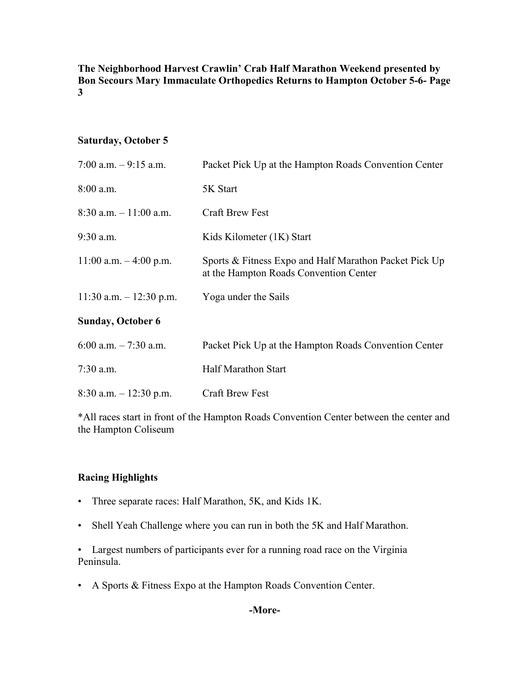#### **Saturday, October 5**

| 7:00 a.m. $-9:15$ a.m.    | Packet Pick Up at the Hampton Roads Convention Center                                            |
|---------------------------|--------------------------------------------------------------------------------------------------|
| $8:00$ a.m.               | 5K Start                                                                                         |
| $8:30$ a.m. $-11:00$ a.m. | <b>Craft Brew Fest</b>                                                                           |
| $9:30$ a.m.               | Kids Kilometer (1K) Start                                                                        |
| 11:00 a.m. $-4:00$ p.m.   | Sports & Fitness Expo and Half Marathon Packet Pick Up<br>at the Hampton Roads Convention Center |
| 11:30 a.m. $- 12:30$ p.m. | Yoga under the Sails                                                                             |
| <b>Sunday, October 6</b>  |                                                                                                  |
| 6:00 a.m. $-7:30$ a.m.    | Packet Pick Up at the Hampton Roads Convention Center                                            |
| $7:30$ a.m.               | <b>Half Marathon Start</b>                                                                       |
| $8:30$ a.m. $-12:30$ p.m. | <b>Craft Brew Fest</b>                                                                           |

\*All races start in front of the Hampton Roads Convention Center between the center and the Hampton Coliseum

#### **Racing Highlights**

- Three separate races: Half Marathon, 5K, and Kids 1K.
- Shell Yeah Challenge where you can run in both the 5K and Half Marathon.

• Largest numbers of participants ever for a running road race on the Virginia Peninsula.

• A Sports & Fitness Expo at the Hampton Roads Convention Center.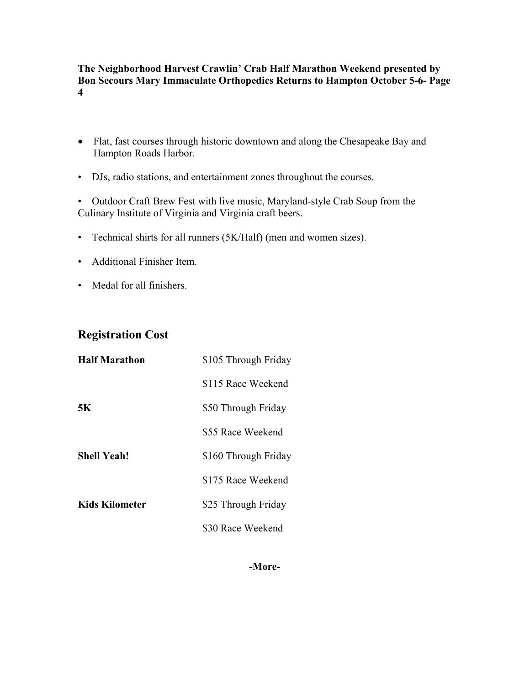- Flat, fast courses through historic downtown and along the Chesapeake Bay and Hampton Roads Harbor.
- DJs, radio stations, and entertainment zones throughout the courses.

• Outdoor Craft Brew Fest with live music, Maryland-style Crab Soup from the Culinary Institute of Virginia and Virginia craft beers.

- Technical shirts for all runners (5K/Half) (men and women sizes).
- Additional Finisher Item.
- Medal for all finishers.

# **Registration Cost**

| <b>Half Marathon</b>  | \$105 Through Friday |
|-----------------------|----------------------|
|                       | \$115 Race Weekend   |
| 5K                    | \$50 Through Friday  |
|                       | \$55 Race Weekend    |
| <b>Shell Yeah!</b>    | \$160 Through Friday |
|                       | \$175 Race Weekend   |
| <b>Kids Kilometer</b> | \$25 Through Friday  |
|                       | \$30 Race Weekend    |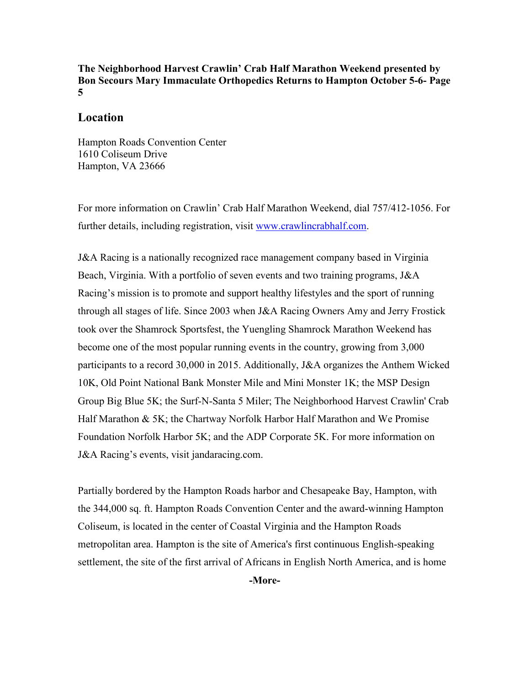#### **Location**

Hampton Roads Convention Center 1610 Coliseum Drive Hampton, VA 23666

For more information on Crawlin' Crab Half Marathon Weekend, dial 757/412-1056. For further details, including registration, visit [www.crawlincrabhalf.com.](http://www.crawlincrabhalf.com/)

J&A Racing is a nationally recognized race management company based in Virginia Beach, Virginia. With a portfolio of seven events and two training programs, J&A Racing's mission is to promote and support healthy lifestyles and the sport of running through all stages of life. Since 2003 when J&A Racing Owners Amy and Jerry Frostick took over the Shamrock Sportsfest, the Yuengling Shamrock Marathon Weekend has become one of the most popular running events in the country, growing from 3,000 participants to a record 30,000 in 2015. Additionally, J&A organizes the Anthem Wicked 10K, Old Point National Bank Monster Mile and Mini Monster 1K; the MSP Design Group Big Blue 5K; the Surf-N-Santa 5 Miler; The Neighborhood Harvest Crawlin' Crab Half Marathon & 5K; the Chartway Norfolk Harbor Half Marathon and We Promise Foundation Norfolk Harbor 5K; and the ADP Corporate 5K. For more information on J&A Racing's events, visit [jandaracing.com.](http://www.jandaracing.com/)

Partially bordered by the Hampton Roads harbor and Chesapeake Bay, Hampton, with the 344,000 sq. ft. Hampton Roads Convention Center and the award-winning Hampton Coliseum, is located in the center of Coastal Virginia and the Hampton Roads metropolitan area. Hampton is the site of America's first continuous English-speaking settlement, the site of the first arrival of Africans in English North America, and is home